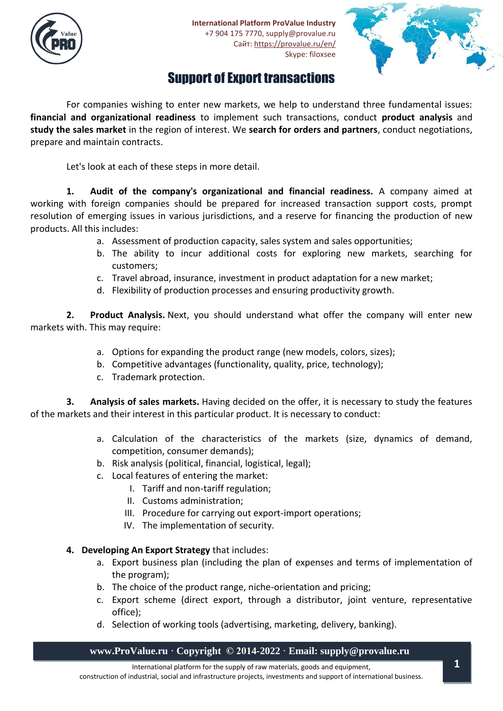



# Support of Export transactions

For companies wishing to enter new markets, we help to understand three fundamental issues: **financial and organizational readiness** to implement such transactions, conduct **product analysis** and **study the sales market** in the region of interest. We **search for orders and partners**, conduct negotiations, prepare and maintain contracts.

Let's look at each of these steps in more detail.

**1. Audit of the company's organizational and financial readiness.** A company aimed at working with foreign companies should be prepared for increased transaction support costs, prompt resolution of emerging issues in various jurisdictions, and a reserve for financing the production of new products. All this includes:

- a. Assessment of production capacity, sales system and sales opportunities;
- b. The ability to incur additional costs for exploring new markets, searching for customers;
- c. Travel abroad, insurance, investment in product adaptation for a new market;
- d. Flexibility of production processes and ensuring productivity growth.

**2. Product Analysis.** Next, you should understand what offer the company will enter new markets with. This may require:

- a. Options for expanding the product range (new models, colors, sizes);
- b. Competitive advantages (functionality, quality, price, technology);
- c. Trademark protection.

**3. Analysis of sales markets.** Having decided on the offer, it is necessary to study the features of the markets and their interest in this particular product. It is necessary to conduct:

- a. Calculation of the characteristics of the markets (size, dynamics of demand, competition, consumer demands);
- b. Risk analysis (political, financial, logistical, legal);
- c. Local features of entering the market:
	- I. Tariff and non-tariff regulation;
	- II. Customs administration;
	- III. Procedure for carrying out export-import operations;
	- IV. The implementation of security.
- **4. Developing An Export Strategy** that includes:
	- a. Export business plan (including the plan of expenses and terms of implementation of the program);
	- b. The choice of the product range, niche-orientation and pricing;
	- c. Export scheme (direct export, through a distributor, joint venture, representative office);
	- d. Selection of working tools (advertising, marketing, delivery, banking).

## **www.ProValue.ru · Copyright © 2014-2022 · Email: supply@provalue.ru**

International platform for the supply of raw materials, goods and equipment, construction of industrial, social and infrastructure projects, investments and support of international business.